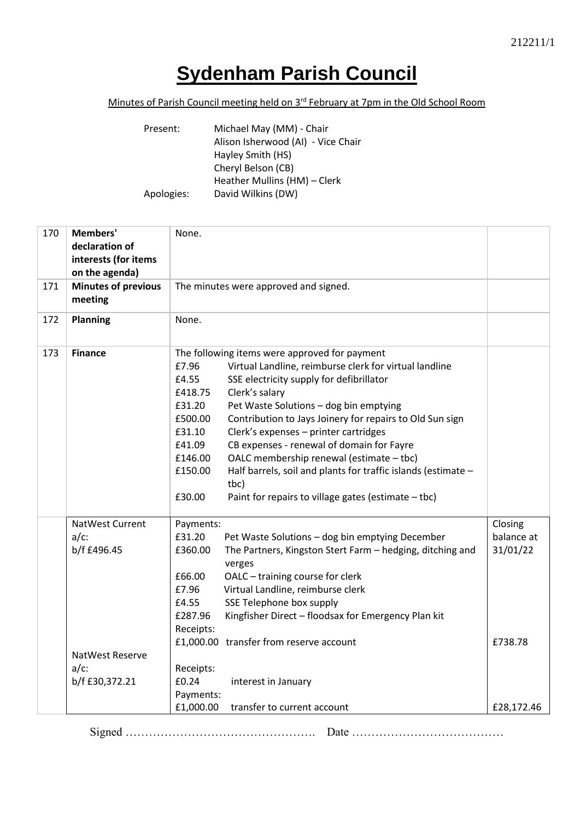## **Sydenham Parish Council**

Minutes of Parish Council meeting held on 3<sup>rd</sup> February at 7pm in the Old School Room

| Present:   | Michael May (MM) - Chair           |
|------------|------------------------------------|
|            | Alison Isherwood (AI) - Vice Chair |
|            | Hayley Smith (HS)                  |
|            | Cheryl Belson (CB)                 |
|            | Heather Mullins (HM) - Clerk       |
| Apologies: | David Wilkins (DW)                 |
|            |                                    |

| 170 | Members'<br>declaration of<br>interests (for items<br>on the agenda) | None.                                                                                                                                                                                                                                                                                                                                                                                                                                                                                                                                                                                                                                                 |                                              |
|-----|----------------------------------------------------------------------|-------------------------------------------------------------------------------------------------------------------------------------------------------------------------------------------------------------------------------------------------------------------------------------------------------------------------------------------------------------------------------------------------------------------------------------------------------------------------------------------------------------------------------------------------------------------------------------------------------------------------------------------------------|----------------------------------------------|
| 171 | <b>Minutes of previous</b><br>meeting                                | The minutes were approved and signed.                                                                                                                                                                                                                                                                                                                                                                                                                                                                                                                                                                                                                 |                                              |
| 172 | <b>Planning</b>                                                      | None.                                                                                                                                                                                                                                                                                                                                                                                                                                                                                                                                                                                                                                                 |                                              |
| 173 | <b>Finance</b>                                                       | The following items were approved for payment<br>Virtual Landline, reimburse clerk for virtual landline<br>£7.96<br>£4.55<br>SSE electricity supply for defibrillator<br>Clerk's salary<br>£418.75<br>£31.20<br>Pet Waste Solutions - dog bin emptying<br>£500.00<br>Contribution to Jays Joinery for repairs to Old Sun sign<br>Clerk's expenses - printer cartridges<br>£31.10<br>CB expenses - renewal of domain for Fayre<br>£41.09<br>OALC membership renewal (estimate - tbc)<br>£146.00<br>£150.00<br>Half barrels, soil and plants for traffic islands (estimate -<br>tbc)<br>£30.00<br>Paint for repairs to village gates (estimate $-$ tbc) |                                              |
|     | NatWest Current<br>$a/c$ :<br>b/f £496.45<br>NatWest Reserve         | Payments:<br>£31.20<br>Pet Waste Solutions - dog bin emptying December<br>£360.00<br>The Partners, Kingston Stert Farm - hedging, ditching and<br>verges<br>£66.00<br>OALC - training course for clerk<br>Virtual Landline, reimburse clerk<br>£7.96<br>SSE Telephone box supply<br>£4.55<br>£287.96<br>Kingfisher Direct - floodsax for Emergency Plan kit<br>Receipts:<br>£1,000.00 transfer from reserve account                                                                                                                                                                                                                                   | Closing<br>balance at<br>31/01/22<br>£738.78 |
|     | $a/c$ :<br>b/f £30,372.21                                            | Receipts:<br>£0.24<br>interest in January<br>Payments:<br>£1,000.00<br>transfer to current account                                                                                                                                                                                                                                                                                                                                                                                                                                                                                                                                                    | £28,172.46                                   |

Signed …………………………………………. Date …………………………………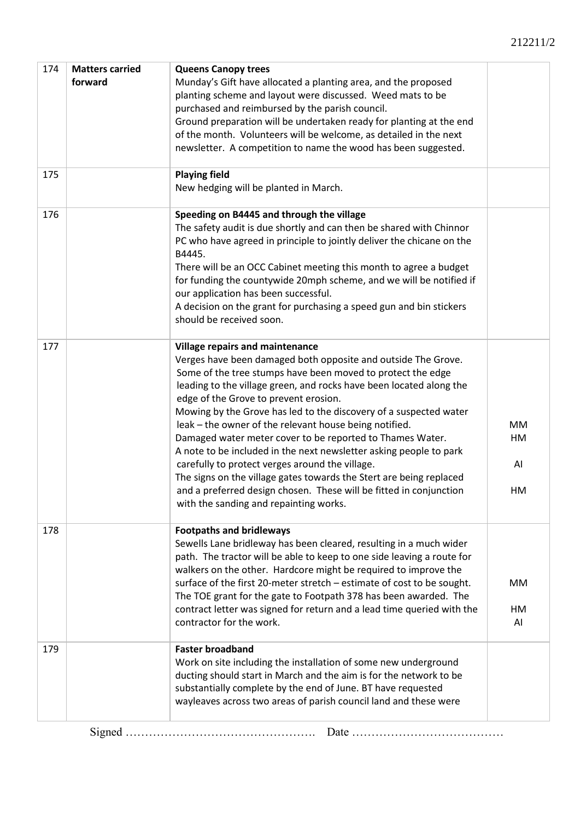## 212211/2

| <b>Playing field</b><br>175<br>New hedging will be planted in March.                                                                                                                                                                                                                                                                                                                                                                                                                                                                                                                                                                                                                                                                                                                                      |                             |
|-----------------------------------------------------------------------------------------------------------------------------------------------------------------------------------------------------------------------------------------------------------------------------------------------------------------------------------------------------------------------------------------------------------------------------------------------------------------------------------------------------------------------------------------------------------------------------------------------------------------------------------------------------------------------------------------------------------------------------------------------------------------------------------------------------------|-----------------------------|
|                                                                                                                                                                                                                                                                                                                                                                                                                                                                                                                                                                                                                                                                                                                                                                                                           |                             |
| Speeding on B4445 and through the village<br>176<br>The safety audit is due shortly and can then be shared with Chinnor<br>PC who have agreed in principle to jointly deliver the chicane on the<br>B4445.<br>There will be an OCC Cabinet meeting this month to agree a budget<br>for funding the countywide 20mph scheme, and we will be notified if<br>our application has been successful.<br>A decision on the grant for purchasing a speed gun and bin stickers<br>should be received soon.                                                                                                                                                                                                                                                                                                         |                             |
| 177<br><b>Village repairs and maintenance</b><br>Verges have been damaged both opposite and outside The Grove.<br>Some of the tree stumps have been moved to protect the edge<br>leading to the village green, and rocks have been located along the<br>edge of the Grove to prevent erosion.<br>Mowing by the Grove has led to the discovery of a suspected water<br>leak - the owner of the relevant house being notified.<br>Damaged water meter cover to be reported to Thames Water.<br>A note to be included in the next newsletter asking people to park<br>carefully to protect verges around the village.<br>The signs on the village gates towards the Stert are being replaced<br>and a preferred design chosen. These will be fitted in conjunction<br>with the sanding and repainting works. | <b>MM</b><br>HM<br>Al<br>HM |
| <b>Footpaths and bridleways</b><br>178<br>Sewells Lane bridleway has been cleared, resulting in a much wider<br>path. The tractor will be able to keep to one side leaving a route for<br>walkers on the other. Hardcore might be required to improve the<br>surface of the first 20-meter stretch - estimate of cost to be sought.<br>The TOE grant for the gate to Footpath 378 has been awarded. The<br>contract letter was signed for return and a lead time queried with the<br>contractor for the work.                                                                                                                                                                                                                                                                                             | <b>MM</b><br>HM<br>AI       |
| <b>Faster broadband</b><br>179<br>Work on site including the installation of some new underground<br>ducting should start in March and the aim is for the network to be<br>substantially complete by the end of June. BT have requested<br>wayleaves across two areas of parish council land and these were                                                                                                                                                                                                                                                                                                                                                                                                                                                                                               |                             |